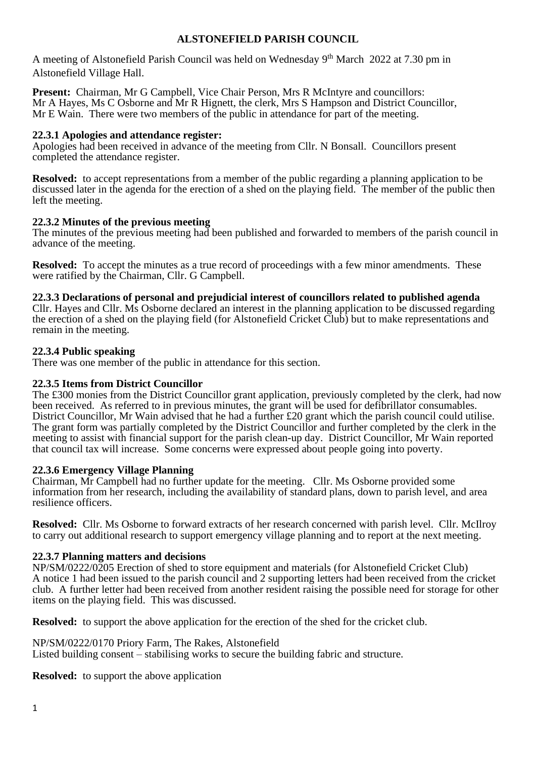# **ALSTONEFIELD PARISH COUNCIL**

A meeting of Alstonefield Parish Council was held on Wednesday 9<sup>th</sup> March 2022 at 7.30 pm in Alstonefield Village Hall.

**Present:** Chairman, Mr G Campbell, Vice Chair Person, Mrs R McIntyre and councillors: Mr A Hayes, Ms C Osborne and Mr R Hignett, the clerk, Mrs S Hampson and District Councillor, Mr E Wain. There were two members of the public in attendance for part of the meeting.

## **22.3.1 Apologies and attendance register:**

Apologies had been received in advance of the meeting from Cllr. N Bonsall. Councillors present completed the attendance register.

**Resolved:** to accept representations from a member of the public regarding a planning application to be discussed later in the agenda for the erection of a shed on the playing field. The member of the public then left the meeting.

### **22.3.2 Minutes of the previous meeting**

The minutes of the previous meeting had been published and forwarded to members of the parish council in advance of the meeting.

**Resolved:** To accept the minutes as a true record of proceedings with a few minor amendments. These were ratified by the Chairman, Cllr. G Campbell.

#### **22.3.3 Declarations of personal and prejudicial interest of councillors related to published agenda**

Cllr. Hayes and Cllr. Ms Osborne declared an interest in the planning application to be discussed regarding the erection of a shed on the playing field (for Alstonefield Cricket Club) but to make representations and remain in the meeting.

### **22.3.4 Public speaking**

There was one member of the public in attendance for this section.

## **22.3.5 Items from District Councillor**

The £300 monies from the District Councillor grant application, previously completed by the clerk, had now been received. As referred to in previous minutes, the grant will be used for defibrillator consumables. District Councillor, Mr Wain advised that he had a further £20 grant which the parish council could utilise. The grant form was partially completed by the District Councillor and further completed by the clerk in the meeting to assist with financial support for the parish clean-up day. District Councillor, Mr Wain reported that council tax will increase. Some concerns were expressed about people going into poverty.

#### **22.3.6 Emergency Village Planning**

Chairman, Mr Campbell had no further update for the meeting. Cllr. Ms Osborne provided some information from her research, including the availability of standard plans, down to parish level, and area resilience officers.

**Resolved:** Cllr. Ms Osborne to forward extracts of her research concerned with parish level. Cllr. McIlroy to carry out additional research to support emergency village planning and to report at the next meeting.

## **22.3.7 Planning matters and decisions**

NP/SM/0222/0205 Erection of shed to store equipment and materials (for Alstonefield Cricket Club) A notice 1 had been issued to the parish council and 2 supporting letters had been received from the cricket club. A further letter had been received from another resident raising the possible need for storage for other items on the playing field. This was discussed.

**Resolved:** to support the above application for the erection of the shed for the cricket club.

NP/SM/0222/0170 Priory Farm, The Rakes, Alstonefield Listed building consent – stabilising works to secure the building fabric and structure.

**Resolved:** to support the above application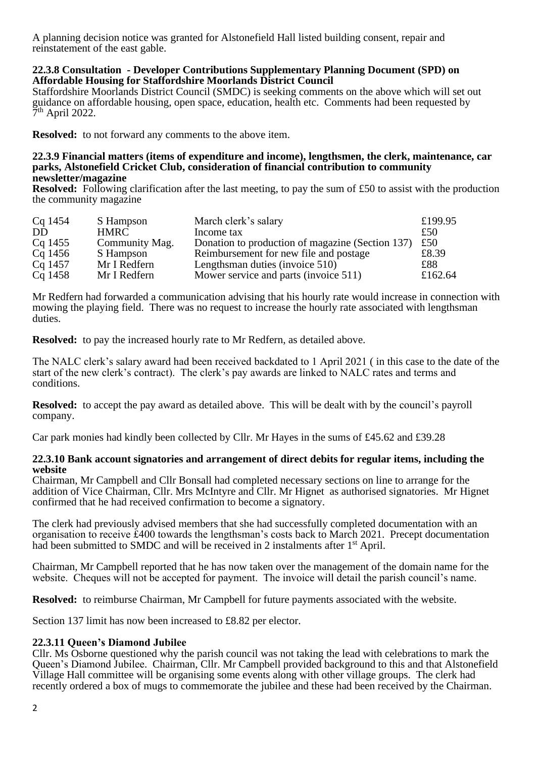A planning decision notice was granted for Alstonefield Hall listed building consent, repair and reinstatement of the east gable.

### **22.3.8 Consultation - Developer Contributions Supplementary Planning Document (SPD) on Affordable Housing for Staffordshire Moorlands District Council**

Staffordshire Moorlands District Council (SMDC) is seeking comments on the above which will set out guidance on affordable housing, open space, education, health etc. Comments had been requested by  $7<sup>th</sup>$  April 2022.

**Resolved:** to not forward any comments to the above item.

#### **22.3.9 Financial matters (items of expenditure and income), lengthsmen, the clerk, maintenance, car parks, Alstonefield Cricket Club, consideration of financial contribution to community newsletter/magazine**

**Resolved:** Following clarification after the last meeting, to pay the sum of £50 to assist with the production the community magazine

| Cq 1454 | S Hampson      | March clerk's salary                             | £199.95 |
|---------|----------------|--------------------------------------------------|---------|
| DD      | <b>HMRC</b>    | Income tax                                       | £50     |
| Cq 1455 | Community Mag. | Donation to production of magazine (Section 137) | £50     |
| Cq 1456 | S Hampson      | Reimbursement for new file and postage           | £8.39   |
| Cq 1457 | Mr I Redfern   | Lengthsman duties (invoice 510)                  | £88     |
| Cq 1458 | Mr I Redfern   | Mower service and parts (invoice 511)            | £162.64 |

Mr Redfern had forwarded a communication advising that his hourly rate would increase in connection with mowing the playing field. There was no request to increase the hourly rate associated with lengthsman duties.

**Resolved:** to pay the increased hourly rate to Mr Redfern, as detailed above.

The NALC clerk's salary award had been received backdated to 1 April 2021 ( in this case to the date of the start of the new clerk's contract). The clerk's pay awards are linked to NALC rates and terms and conditions.

**Resolved:** to accept the pay award as detailed above. This will be dealt with by the council's payroll company.

Car park monies had kindly been collected by Cllr. Mr Hayes in the sums of £45.62 and £39.28

### **22.3.10 Bank account signatories and arrangement of direct debits for regular items, including the website**

Chairman, Mr Campbell and Cllr Bonsall had completed necessary sections on line to arrange for the addition of Vice Chairman, Cllr. Mrs McIntyre and Cllr. Mr Hignet as authorised signatories. Mr Hignet confirmed that he had received confirmation to become a signatory.

The clerk had previously advised members that she had successfully completed documentation with an organisation to receive £400 towards the lengthsman's costs back to March 2021. Precept documentation had been submitted to SMDC and will be received in 2 instalments after 1<sup>st</sup> April.

Chairman, Mr Campbell reported that he has now taken over the management of the domain name for the website. Cheques will not be accepted for payment. The invoice will detail the parish council's name.

**Resolved:** to reimburse Chairman, Mr Campbell for future payments associated with the website.

Section 137 limit has now been increased to £8.82 per elector.

## **22.3.11 Queen's Diamond Jubilee**

Cllr. Ms Osborne questioned why the parish council was not taking the lead with celebrations to mark the Queen's Diamond Jubilee. Chairman, Cllr. Mr Campbell provided background to this and that Alstonefield Village Hall committee will be organising some events along with other village groups. The clerk had recently ordered a box of mugs to commemorate the jubilee and these had been received by the Chairman.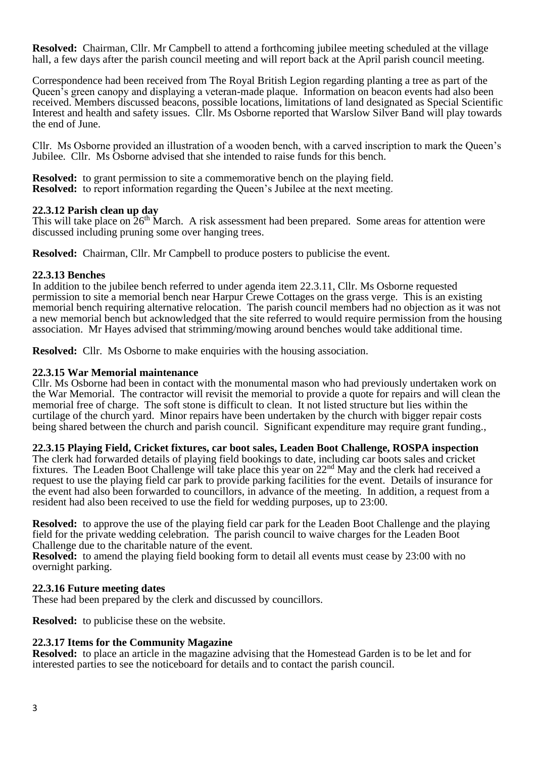**Resolved:** Chairman, Cllr. Mr Campbell to attend a forthcoming jubilee meeting scheduled at the village hall, a few days after the parish council meeting and will report back at the April parish council meeting.

Correspondence had been received from The Royal British Legion regarding planting a tree as part of the Queen's green canopy and displaying a veteran-made plaque. Information on beacon events had also been received. Members discussed beacons, possible locations, limitations of land designated as Special Scientific Interest and health and safety issues. Cllr. Ms Osborne reported that Warslow Silver Band will play towards the end of June.

Cllr. Ms Osborne provided an illustration of a wooden bench, with a carved inscription to mark the Queen's Jubilee. Cllr. Ms Osborne advised that she intended to raise funds for this bench.

**Resolved:** to grant permission to site a commemorative bench on the playing field. **Resolved:** to report information regarding the Queen's Jubilee at the next meeting.

## **22.3.12 Parish clean up day**

This will take place on  $26<sup>th</sup>$  March. A risk assessment had been prepared. Some areas for attention were discussed including pruning some over hanging trees.

**Resolved:** Chairman, Cllr. Mr Campbell to produce posters to publicise the event.

### **22.3.13 Benches**

In addition to the jubilee bench referred to under agenda item 22.3.11, Cllr. Ms Osborne requested permission to site a memorial bench near Harpur Crewe Cottages on the grass verge. This is an existing memorial bench requiring alternative relocation. The parish council members had no objection as it was not a new memorial bench but acknowledged that the site referred to would require permission from the housing association. Mr Hayes advised that strimming/mowing around benches would take additional time.

**Resolved:** Cllr. Ms Osborne to make enquiries with the housing association.

### **22.3.15 War Memorial maintenance**

Cllr. Ms Osborne had been in contact with the monumental mason who had previously undertaken work on the War Memorial. The contractor will revisit the memorial to provide a quote for repairs and will clean the memorial free of charge. The soft stone is difficult to clean. It not listed structure but lies within the curtilage of the church yard. Minor repairs have been undertaken by the church with bigger repair costs being shared between the church and parish council. Significant expenditure may require grant funding.,

## **22.3.15 Playing Field, Cricket fixtures, car boot sales, Leaden Boot Challenge, ROSPA inspection**

The clerk had forwarded details of playing field bookings to date, including car boots sales and cricket fixtures. The Leaden Boot Challenge will take place this year on 22nd May and the clerk had received a request to use the playing field car park to provide parking facilities for the event. Details of insurance for the event had also been forwarded to councillors, in advance of the meeting. In addition, a request from a resident had also been received to use the field for wedding purposes, up to 23:00.

**Resolved:** to approve the use of the playing field car park for the Leaden Boot Challenge and the playing field for the private wedding celebration. The parish council to waive charges for the Leaden Boot Challenge due to the charitable nature of the event.

**Resolved:** to amend the playing field booking form to detail all events must cease by 23:00 with no overnight parking.

## **22.3.16 Future meeting dates**

These had been prepared by the clerk and discussed by councillors.

**Resolved:** to publicise these on the website.

## **22.3.17 Items for the Community Magazine**

**Resolved:** to place an article in the magazine advising that the Homestead Garden is to be let and for interested parties to see the noticeboard for details and to contact the parish council.